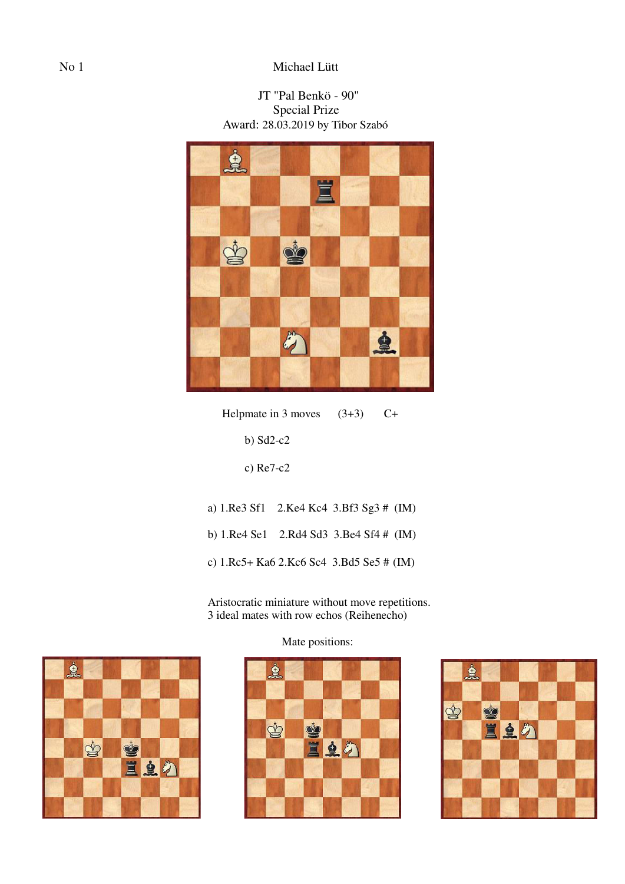# No 1 Michael Lütt

# JT "Pal Benkö - 90" Special Prize Award: 28.03.2019 by Tibor Szabó



Helpmate in 3 moves  $(3+3)$  C+

b) Sd2-c2

c) Re7-c2

 a) 1.Re3 Sf1 2.Ke4 Kc4 3.Bf3 Sg3 # (IM) b) 1.Re4 Se1 2.Rd4 Sd3 3.Be4 Sf4 # (IM) c) 1.Rc5+ Ka6 2.Kc6 Sc4 3.Bd5 Se5 # (IM)

 Aristocratic miniature without move repetitions. 3 ideal mates with row echos (Reihenecho)



Mate positions:



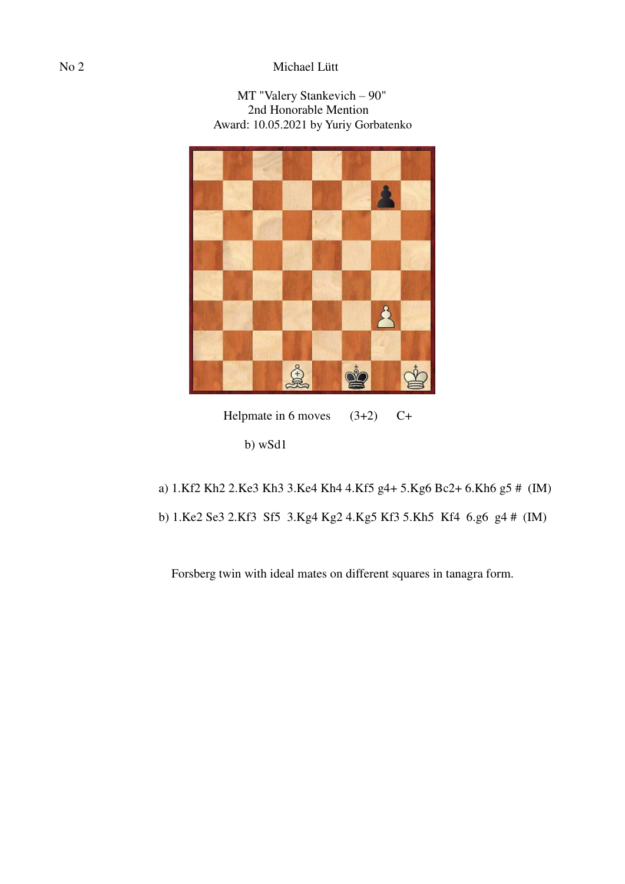# No 2 Michael Lütt

### MT "Valery Stankevich – 90" 2nd Honorable Mention Award: 10.05.2021 by Yuriy Gorbatenko



Helpmate in 6 moves  $(3+2)$  C+

- a) 1.Kf2 Kh2 2.Ke3 Kh3 3.Ke4 Kh4 4.Kf5 g4+ 5.Kg6 Bc2+ 6.Kh6 g5 # (IM)
- b) 1.Ke2 Se3 2.Kf3 Sf5 3.Kg4 Kg2 4.Kg5 Kf3 5.Kh5 Kf4 6.g6 g4 # (IM)

Forsberg twin with ideal mates on different squares in tanagra form.

b) wSd1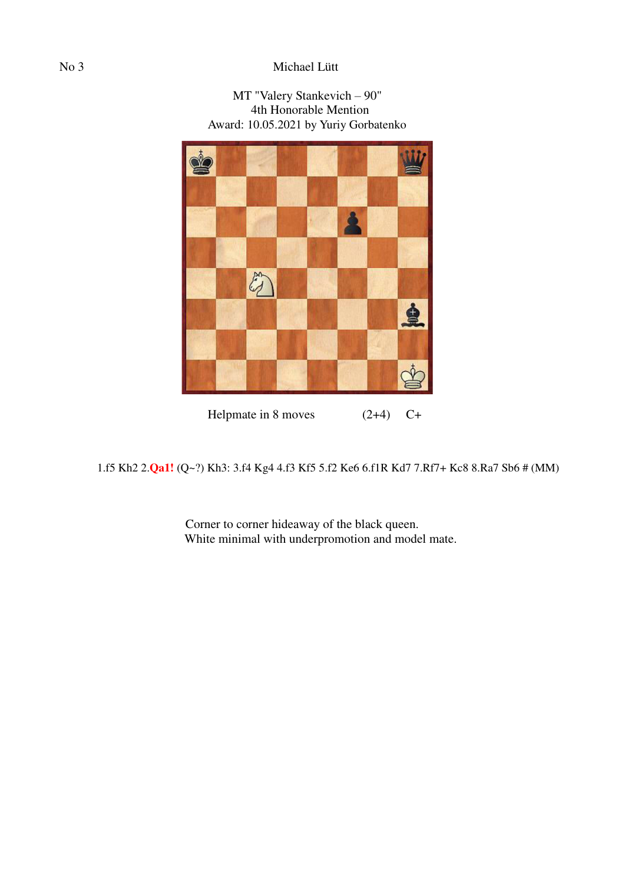# No 3 Michael Lütt



1.f5 Kh2 2.**Qa1!** (Q~?) Kh3: 3.f4 Kg4 4.f3 Kf5 5.f2 Ke6 6.f1R Kd7 7.Rf7+ Kc8 8.Ra7 Sb6 # (MM)

 Corner to corner hideaway of the black queen. White minimal with underpromotion and model mate.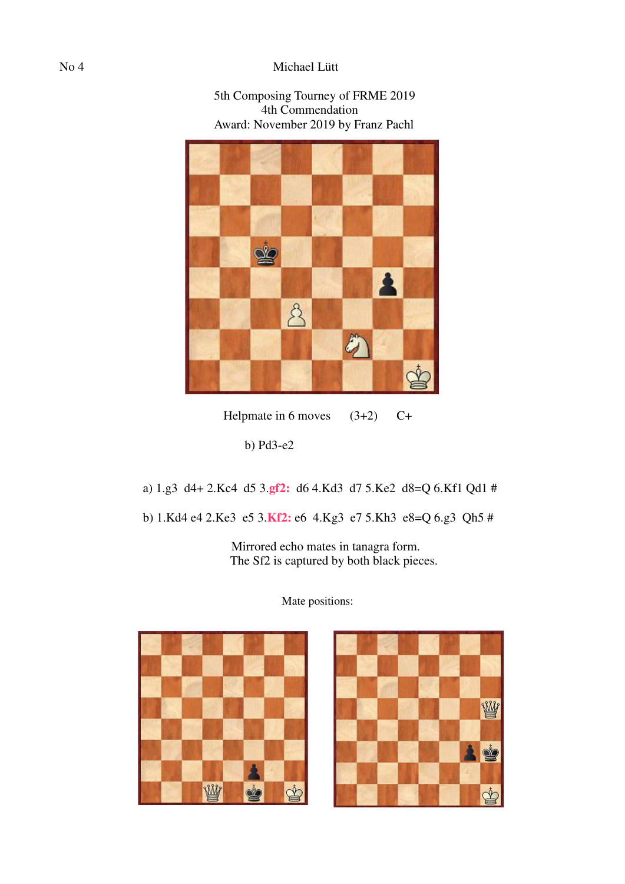### No 4 Michael Lütt

#### 5th Composing Tourney of FRME 2019 4th Commendation Award: November 2019 by Franz Pachl



Helpmate in 6 moves  $(3+2)$  C+

b) Pd3-e2

a) 1.g3 d4+ 2.Kc4 d5 3.**gf2:** d6 4.Kd3 d7 5.Ke2 d8=Q 6.Kf1 Qd1 #

b) 1.Kd4 e4 2.Ke3 e5 3.**Kf2:** e6 4.Kg3 e7 5.Kh3 e8=Q 6.g3 Qh5 #

 Mirrored echo mates in tanagra form. The Sf2 is captured by both black pieces.



Mate positions:

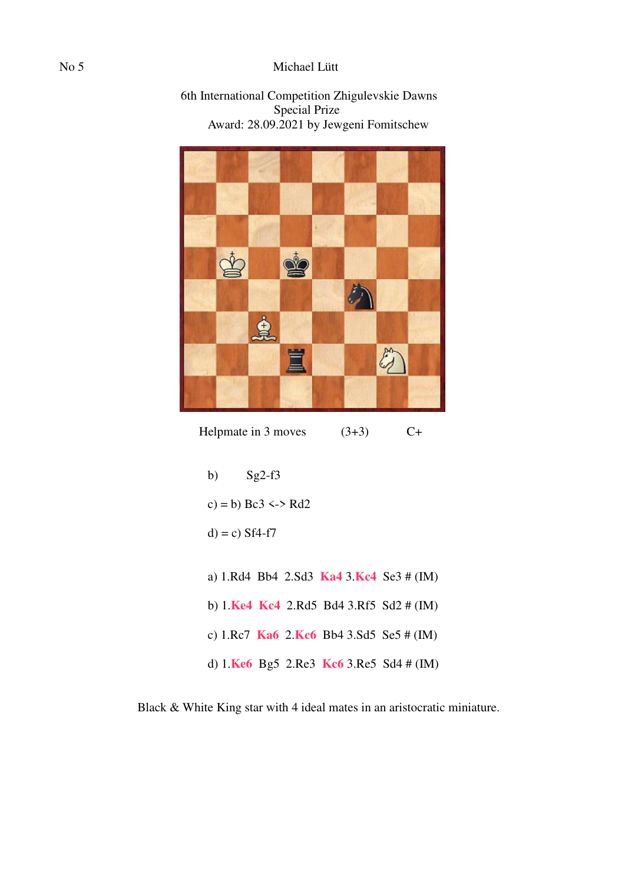### No 5 Michael Lütt





Helpmate in 3 moves  $(3+3)$  C+

- b)  $Sg2-f3$
- c) = b)  $Bc3 \leq P$  Rd2
- $d$ ) = c) Sf4-f7
- a) 1.Rd4 Bb4 2.Sd3 **Ka4** 3.**Kc4** Se3 # (IM) b) 1.**Ke4 Kc4** 2.Rd5 Bd4 3.Rf5 Sd2 # (IM)
- c) 1.Rc7 **Ka6** 2.**Kc6** Bb4 3.Sd5 Se5 # (IM)
- d) 1.**Ke6** Bg5 2.Re3 **Kc6** 3.Re5 Sd4 # (IM)

Black & White King star with 4 ideal mates in an aristocratic miniature.